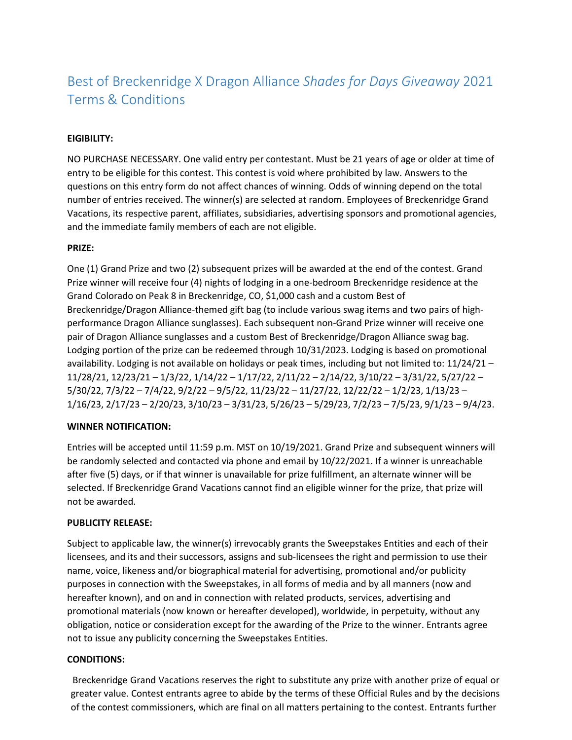# Best of Breckenridge X Dragon Alliance *Shades for Days Giveaway* 2021 Terms & Conditions

## **EIGIBILITY:**

NO PURCHASE NECESSARY. One valid entry per contestant. Must be 21 years of age or older at time of entry to be eligible for this contest. This contest is void where prohibited by law. Answers to the questions on this entry form do not affect chances of winning. Odds of winning depend on the total number of entries received. The winner(s) are selected at random. Employees of Breckenridge Grand Vacations, its respective parent, affiliates, subsidiaries, advertising sponsors and promotional agencies, and the immediate family members of each are not eligible.

### **PRIZE:**

One (1) Grand Prize and two (2) subsequent prizes will be awarded at the end of the contest. Grand Prize winner will receive four (4) nights of lodging in a one-bedroom Breckenridge residence at the Grand Colorado on Peak 8 in Breckenridge, CO, \$1,000 cash and a custom Best of Breckenridge/Dragon Alliance-themed gift bag (to include various swag items and two pairs of highperformance Dragon Alliance sunglasses). Each subsequent non-Grand Prize winner will receive one pair of Dragon Alliance sunglasses and a custom Best of Breckenridge/Dragon Alliance swag bag. Lodging portion of the prize can be redeemed through 10/31/2023. Lodging is based on promotional availability. Lodging is not available on holidays or peak times, including but not limited to: 11/24/21 – 11/28/21, 12/23/21 – 1/3/22, 1/14/22 – 1/17/22, 2/11/22 – 2/14/22, 3/10/22 – 3/31/22, 5/27/22 – 5/30/22, 7/3/22 – 7/4/22, 9/2/22 – 9/5/22, 11/23/22 – 11/27/22, 12/22/22 – 1/2/23, 1/13/23 – 1/16/23, 2/17/23 – 2/20/23, 3/10/23 – 3/31/23, 5/26/23 – 5/29/23, 7/2/23 – 7/5/23, 9/1/23 – 9/4/23.

#### **WINNER NOTIFICATION:**

Entries will be accepted until 11:59 p.m. MST on 10/19/2021. Grand Prize and subsequent winners will be randomly selected and contacted via phone and email by 10/22/2021. If a winner is unreachable after five (5) days, or if that winner is unavailable for prize fulfillment, an alternate winner will be selected. If Breckenridge Grand Vacations cannot find an eligible winner for the prize, that prize will not be awarded.

#### **PUBLICITY RELEASE:**

Subject to applicable law, the winner(s) irrevocably grants the Sweepstakes Entities and each of their licensees, and its and their successors, assigns and sub-licensees the right and permission to use their name, voice, likeness and/or biographical material for advertising, promotional and/or publicity purposes in connection with the Sweepstakes, in all forms of media and by all manners (now and hereafter known), and on and in connection with related products, services, advertising and promotional materials (now known or hereafter developed), worldwide, in perpetuity, without any obligation, notice or consideration except for the awarding of the Prize to the winner. Entrants agree not to issue any publicity concerning the Sweepstakes Entities.

#### **CONDITIONS:**

Breckenridge Grand Vacations reserves the right to substitute any prize with another prize of equal or greater value. Contest entrants agree to abide by the terms of these Official Rules and by the decisions of the contest commissioners, which are final on all matters pertaining to the contest. Entrants further